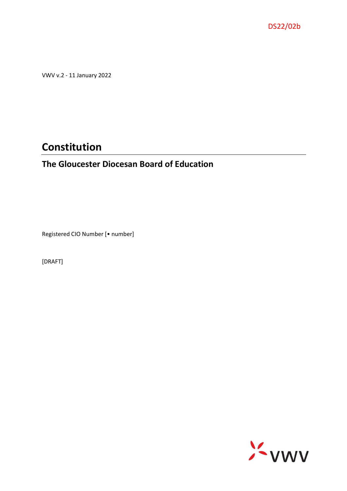

VWV v.2 - 11 January 2022

# **Constitution**

# **The Gloucester Diocesan Board of Education**

Registered CIO Number [• number]

[DRAFT]

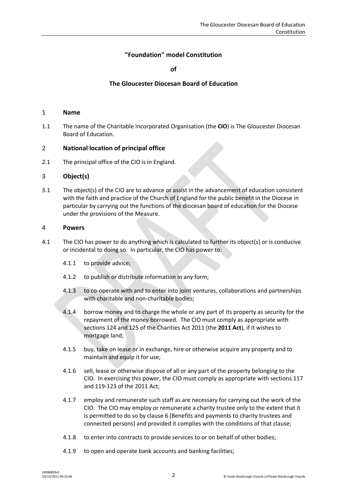# **"Foundation" model Constitution**

**of**

# **The Gloucester Diocesan Board of Education**

#### 1 **Name**

1.1 The name of the Charitable Incorporated Organisation (the **CIO**) is The Gloucester Diocesan Board of Education.

# 2 **National location of principal office**

2.1 The principal office of the CIO is in England.

# <span id="page-1-0"></span>3 **Object(s)**

3.1 The object(s) of the CIO are to advance or assist in the advancement of education consistent with the faith and practice of the Church of England for the public benefit in the Diocese in particular by carrying out the functions of the diocesan board of education for the Diocese under the provisions of the Measure.

#### 4 **Powers**

- 4.1 The CIO has power to do anything which is calculated to further its object(s) or is conducive or incidental to doing so. In particular, the CIO has power to:
	- 4.1.1 to provide advice;
	- 4.1.2 to publish or distribute information in any form;
	- 4.1.3 to co-operate with and to enter into joint ventures, collaborations and partnerships with charitable and non-charitable bodies;
	- 4.1.4 borrow money and to charge the whole or any part of its property as security for the repayment of the money borrowed. The CIO must comply as appropriate with sections 124 and 125 of the Charities Act 2011 (the **2011 Act**), if it wishes to mortgage land;
	- 4.1.5 buy, take on lease or in exchange, hire or otherwise acquire any property and to maintain and equip it for use;
	- 4.1.6 sell, lease or otherwise dispose of all or any part of the property belonging to the CIO. In exercising this power, the CIO must comply as appropriate with sections 117 and 119-123 of the 2011 Act;
	- 4.1.7 employ and remunerate such staff as are necessary for carrying out the work of the CIO. The CIO may employ or remunerate a charity trustee only to the extent that it is permitted to do so by clause [6](#page-2-0) (Benefits and payments to charity trustees and connected persons) and provided it complies with the conditions of that clause;
	- 4.1.8 to enter into contracts to provide services to or on behalf of other bodies;
	- 4.1.9 to open and operate bank accounts and banking facilities;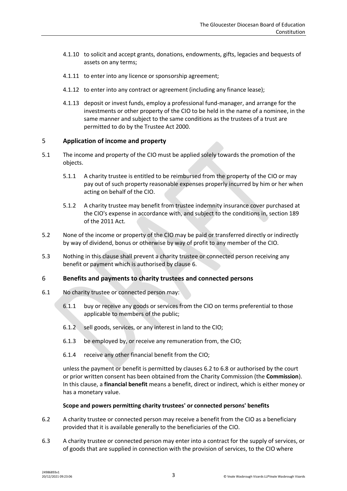- 4.1.10 to solicit and accept grants, donations, endowments, gifts, legacies and bequests of assets on any terms;
- 4.1.11 to enter into any licence or sponsorship agreement;
- 4.1.12 to enter into any contract or agreement (including any finance lease);
- 4.1.13 deposit or invest funds, employ a professional fund-manager, and arrange for the investments or other property of the CIO to be held in the name of a nominee, in the same manner and subject to the same conditions as the trustees of a trust are permitted to do by the Trustee Act 2000.

# 5 **Application of income and property**

- 5.1 The income and property of the CIO must be applied solely towards the promotion of the objects.
	- 5.1.1 A charity trustee is entitled to be reimbursed from the property of the CIO or may pay out of such property reasonable expenses properly incurred by him or her when acting on behalf of the CIO.
	- 5.1.2 A charity trustee may benefit from trustee indemnity insurance cover purchased at the CIO's expense in accordance with, and subject to the conditions in, section 189 of the 2011 Act.
- 5.2 None of the income or property of the CIO may be paid or transferred directly or indirectly by way of dividend, bonus or otherwise by way of profit to any member of the CIO.
- 5.3 Nothing in this clause shall prevent a charity trustee or connected person receiving any benefit or payment which is authorised by clause [6.](#page-2-0)

#### <span id="page-2-0"></span>6 **Benefits and payments to charity trustees and connected persons**

- 6.1 No charity trustee or connected person may:
	- 6.1.1 buy or receive any goods or services from the CIO on terms preferential to those applicable to members of the public;
	- 6.1.2 sell goods, services, or any interest in land to the CIO;
	- 6.1.3 be employed by, or receive any remuneration from, the CIO;
	- 6.1.4 receive any other financial benefit from the CIO;

unless the payment or benefit is permitted by clauses [6.2](#page-2-1) to [6.8](#page-3-0) or authorised by the court or prior written consent has been obtained from the Charity Commission (the **Commission**). In this clause, a **financial benefit** means a benefit, direct or indirect, which is either money or has a monetary value.

#### **Scope and powers permitting charity trustees' or connected persons' benefits**

- <span id="page-2-1"></span>6.2 A charity trustee or connected person may receive a benefit from the CIO as a beneficiary provided that it is available generally to the beneficiaries of the CIO.
- <span id="page-2-2"></span>6.3 A charity trustee or connected person may enter into a contract for the supply of services, or of goods that are supplied in connection with the provision of services, to the CIO where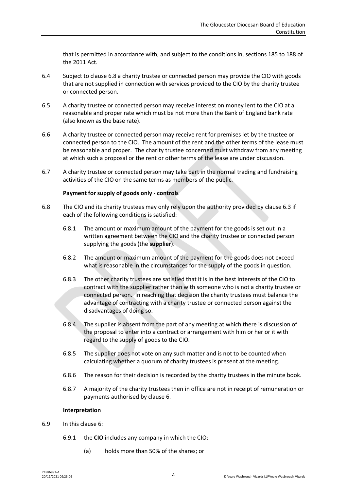that is permitted in accordance with, and subject to the conditions in, sections 185 to 188 of the 2011 Act.

- 6.4 Subject to clause [6.8](#page-3-0) a charity trustee or connected person may provide the CIO with goods that are not supplied in connection with services provided to the CIO by the charity trustee or connected person.
- 6.5 A charity trustee or connected person may receive interest on money lent to the CIO at a reasonable and proper rate which must be not more than the Bank of England bank rate (also known as the base rate).
- 6.6 A charity trustee or connected person may receive rent for premises let by the trustee or connected person to the CIO. The amount of the rent and the other terms of the lease must be reasonable and proper. The charity trustee concerned must withdraw from any meeting at which such a proposal or the rent or other terms of the lease are under discussion.
- 6.7 A charity trustee or connected person may take part in the normal trading and fundraising activities of the CIO on the same terms as members of the public.

# **Payment for supply of goods only - controls**

- <span id="page-3-0"></span>6.8 The CIO and its charity trustees may only rely upon the authority provided by clause [6.3](#page-2-2) if each of the following conditions is satisfied:
	- 6.8.1 The amount or maximum amount of the payment for the goods is set out in a written agreement between the CIO and the charity trustee or connected person supplying the goods (the **supplier**).
	- 6.8.2 The amount or maximum amount of the payment for the goods does not exceed what is reasonable in the circumstances for the supply of the goods in question.
	- 6.8.3 The other charity trustees are satisfied that it is in the best interests of the CIO to contract with the supplier rather than with someone who is not a charity trustee or connected person. In reaching that decision the charity trustees must balance the advantage of contracting with a charity trustee or connected person against the disadvantages of doing so.
	- 6.8.4 The supplier is absent from the part of any meeting at which there is discussion of the proposal to enter into a contract or arrangement with him or her or it with regard to the supply of goods to the CIO.
	- 6.8.5 The supplier does not vote on any such matter and is not to be counted when calculating whether a quorum of charity trustees is present at the meeting.
	- 6.8.6 The reason for their decision is recorded by the charity trustees in the minute book.
	- 6.8.7 A majority of the charity trustees then in office are not in receipt of remuneration or payments authorised by clause [6.](#page-2-0)

#### **Interpretation**

- 6.9 In this clause [6:](#page-2-0)
	- 6.9.1 the **CIO** includes any company in which the CIO:
		- (a) holds more than 50% of the shares; or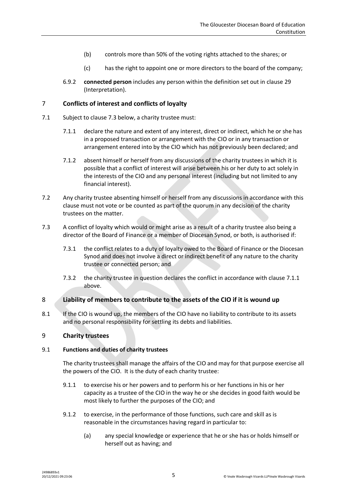- (b) controls more than 50% of the voting rights attached to the shares; or
- (c) has the right to appoint one or more directors to the board of the company;
- 6.9.2 **connected person** includes any person within the definition set out in clause [29](#page-14-0) (Interpretation).

# <span id="page-4-3"></span>7 **Conflicts of interest and conflicts of loyalty**

- <span id="page-4-1"></span>7.1 Subject to clause [7.3](#page-4-0) below, a charity trustee must:
	- 7.1.1 declare the nature and extent of any interest, direct or indirect, which he or she has in a proposed transaction or arrangement with the CIO or in any transaction or arrangement entered into by the CIO which has not previously been declared; and
	- 7.1.2 absent himself or herself from any discussions of the charity trustees in which it is possible that a conflict of interest will arise between his or her duty to act solely in the interests of the CIO and any personal interest (including but not limited to any financial interest).
- 7.2 Any charity trustee absenting himself or herself from any discussions in accordance with this clause must not vote or be counted as part of the quorum in any decision of the charity trustees on the matter.
- <span id="page-4-0"></span>7.3 A conflict of loyalty which would or might arise as a result of a charity trustee also being a director of the Board of Finance or a member of Diocesan Synod, or both, is authorised if:
	- 7.3.1 the conflict relates to a duty of loyalty owed to the Board of Finance or the Diocesan Synod and does not involve a direct or indirect benefit of any nature to the charity trustee or connected person; and
	- 7.3.2 the charity trustee in question declares the conflict in accordance with claus[e 7.1.1](#page-4-1) above.

# 8 **Liability of members to contribute to the assets of the CIO if it is wound up**

8.1 If the CIO is wound up, the members of the CIO have no liability to contribute to its assets and no personal responsibility for settling its debts and liabilities.

# 9 **Charity trustees**

#### <span id="page-4-2"></span>9.1 **Functions and duties of charity trustees**

The charity trustees shall manage the affairs of the CIO and may for that purpose exercise all the powers of the CIO. It is the duty of each charity trustee:

- 9.1.1 to exercise his or her powers and to perform his or her functions in his or her capacity as a trustee of the CIO in the way he or she decides in good faith would be most likely to further the purposes of the CIO; and
- 9.1.2 to exercise, in the performance of those functions, such care and skill as is reasonable in the circumstances having regard in particular to:
	- (a) any special knowledge or experience that he or she has or holds himself or herself out as having; and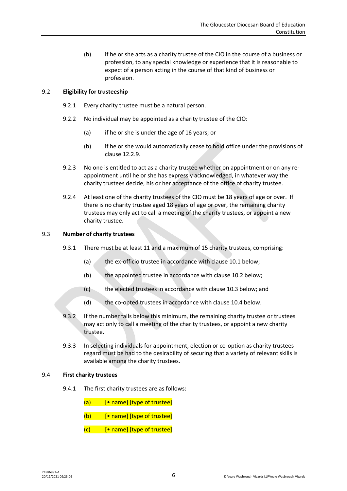(b) if he or she acts as a charity trustee of the CIO in the course of a business or profession, to any special knowledge or experience that it is reasonable to expect of a person acting in the course of that kind of business or profession.

# 9.2 **Eligibility for trusteeship**

- 9.2.1 Every charity trustee must be a natural person.
- 9.2.2 No individual may be appointed as a charity trustee of the CIO:
	- (a) if he or she is under the age of 16 years; or
	- (b) if he or she would automatically cease to hold office under the provisions of claus[e 12.2.9.](#page-7-0)
- 9.2.3 No one is entitled to act as a charity trustee whether on appointment or on any reappointment until he or she has expressly acknowledged, in whatever way the charity trustees decide, his or her acceptance of the office of charity trustee.
- 9.2.4 At least one of the charity trustees of the CIO must be 18 years of age or over. If there is no charity trustee aged 18 years of age or over, the remaining charity trustees may only act to call a meeting of the charity trustees, or appoint a new charity trustee.

#### 9.3 **Number of charity trustees**

- 9.3.1 There must be at least 11 and a maximum of 15 charity trustees, comprising:
	- (a) the ex-officio trustee in accordance with claus[e 10.1](#page-6-0) below;
	- (b) the appointed trustee in accordance with clause [10.2](#page-6-1) below;
	- (c) the elected trustees in accordance with clause [10.3](#page-6-2) below; and
	- (d) the co-opted trustees in accordance with clause [10.4](#page-6-3) below.
- 9.3.2 If the number falls below this minimum, the remaining charity trustee or trustees may act only to call a meeting of the charity trustees, or appoint a new charity trustee.
- 9.3.3 In selecting individuals for appointment, election or co-option as charity trustees regard must be had to the desirability of securing that a variety of relevant skills is available among the charity trustees.

#### 9.4 **First charity trustees**

9.4.1 The first charity trustees are as follows:

 $(a)$  [• name] [type of trustee]

- $(b)$  [• name] [type of trustee]
- $(c)$  [• name] [type of trustee]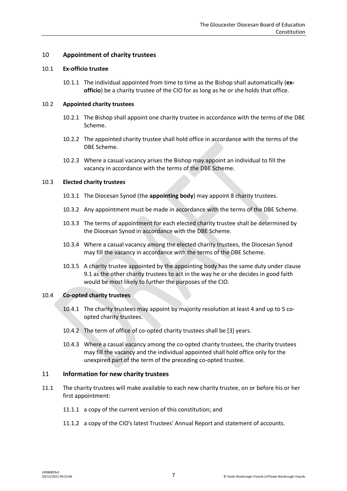# 10 **Appointment of charity trustees**

#### <span id="page-6-0"></span>10.1 **Ex-officio trustee**

10.1.1 The individual appointed from time to time as the Bishop shall automatically (**exofficio**) be a charity trustee of the CIO for as long as he or she holds that office.

#### <span id="page-6-1"></span>10.2 **Appointed charity trustees**

- 10.2.1 The Bishop shall appoint one charity trustee in accordance with the terms of the DBE Scheme.
- 10.2.2 The appointed charity trustee shall hold office in accordance with the terms of the DBE Scheme.
- 10.2.3 Where a casual vacancy arises the Bishop may appoint an individual to fill the vacancy in accordance with the terms of the DBE Scheme.

#### <span id="page-6-2"></span>10.3 **Elected charity trustees**

- 10.3.1 The Diocesan Synod (the **appointing body**) may appoint 8 charity trustees.
- 10.3.2 Any appointment must be made in accordance with the terms of the DBE Scheme.
- 10.3.3 The terms of appointment for each elected charity trustee shall be determined by the Diocesan Synod in accordance with the DBE Scheme.
- 10.3.4 Where a casual vacancy among the elected charity trustees, the Diocesan Synod may fill the vacancy in accordance with the terms of the DBE Scheme.
- 10.3.5 A charity trustee appointed by the appointing body has the same duty under clause [9.1](#page-4-2) as the other charity trustees to act in the way he or she decides in good faith would be most likely to further the purposes of the CIO.

#### <span id="page-6-3"></span>10.4 **Co-opted charity trustees**

- 10.4.1 The charity trustees may appoint by majority resolution at least 4 and up to 5 coopted charity trustees.
- 10.4.2 The term of office of co-opted charity trustees shall be [3] years.
- 10.4.3 Where a casual vacancy among the co-opted charity trustees, the charity trustees may fill the vacancy and the individual appointed shall hold office only for the unexpired part of the term of the preceding co-opted trustee.

#### 11 **Information for new charity trustees**

- 11.1 The charity trustees will make available to each new charity trustee, on or before his or her first appointment:
	- 11.1.1 a copy of the current version of this constitution; and
	- 11.1.2 a copy of the CIO's latest Trustees' Annual Report and statement of accounts.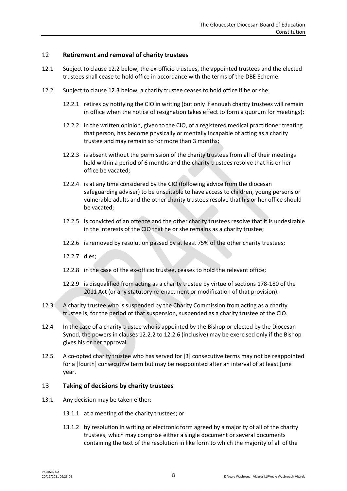# 12 **Retirement and removal of charity trustees**

- 12.1 Subject to clause [12.2](#page-7-1) below, the ex-officio trustees, the appointed trustees and the elected trustees shall cease to hold office in accordance with the terms of the DBE Scheme.
- <span id="page-7-3"></span><span id="page-7-1"></span>12.2 Subject to clause [12.3](#page-7-2) below, a charity trustee ceases to hold office if he or she:
	- 12.2.1 retires by notifying the CIO in writing (but only if enough charity trustees will remain in office when the notice of resignation takes effect to form a quorum for meetings);
	- 12.2.2 in the written opinion, given to the CIO, of a registered medical practitioner treating that person, has become physically or mentally incapable of acting as a charity trustee and may remain so for more than 3 months;
	- 12.2.3 is absent without the permission of the charity trustees from all of their meetings held within a period of 6 months and the charity trustees resolve that his or her office be vacated;
	- 12.2.4 is at any time considered by the CIO (following advice from the diocesan safeguarding adviser) to be unsuitable to have access to children, young persons or vulnerable adults and the other charity trustees resolve that his or her office should be vacated;
	- 12.2.5 is convicted of an offence and the other charity trustees resolve that it is undesirable in the interests of the CIO that he or she remains as a charity trustee;
	- 12.2.6 is removed by resolution passed by at least 75% of the other charity trustees;
	- 12.2.7 dies;
	- 12.2.8 in the case of the ex-officio trustee, ceases to hold the relevant office;
	- 12.2.9 is disqualified from acting as a charity trustee by virtue of sections 178-180 of the 2011 Act (or any statutory re-enactment or modification of that provision).
- <span id="page-7-4"></span><span id="page-7-2"></span><span id="page-7-0"></span>12.3 A charity trustee who is suspended by the Charity Commission from acting as a charity trustee is, for the period of that suspension, suspended as a charity trustee of the CIO.
- 12.4 In the case of a charity trustee who is appointed by the Bishop or elected by the Diocesan Synod, the powers in clauses [12.2.2](#page-7-3) to [12.2.6](#page-7-4) (inclusive) may be exercised only if the Bishop gives his or her approval.
- 12.5 A co-opted charity trustee who has served for [3] consecutive terms may not be reappointed for a [fourth] consecutive term but may be reappointed after an interval of at least [one year.

# 13 **Taking of decisions by charity trustees**

- 13.1 Any decision may be taken either:
	- 13.1.1 at a meeting of the charity trustees; or
	- 13.1.2 by resolution in writing or electronic form agreed by a majority of all of the charity trustees, which may comprise either a single document or several documents containing the text of the resolution in like form to which the majority of all of the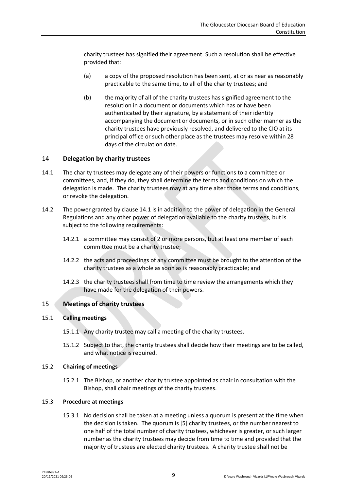charity trustees has signified their agreement. Such a resolution shall be effective provided that:

- (a) a copy of the proposed resolution has been sent, at or as near as reasonably practicable to the same time, to all of the charity trustees; and
- (b) the majority of all of the charity trustees has signified agreement to the resolution in a document or documents which has or have been authenticated by their signature, by a statement of their identity accompanying the document or documents, or in such other manner as the charity trustees have previously resolved, and delivered to the CIO at its principal office or such other place as the trustees may resolve within 28 days of the circulation date.

# 14 **Delegation by charity trustees**

- <span id="page-8-0"></span>14.1 The charity trustees may delegate any of their powers or functions to a committee or committees, and, if they do, they shall determine the terms and conditions on which the delegation is made. The charity trustees may at any time alter those terms and conditions, or revoke the delegation.
- 14.2 The power granted by clause [14.1](#page-8-0) is in addition to the power of delegation in the General Regulations and any other power of delegation available to the charity trustees, but is subject to the following requirements:
	- 14.2.1 a committee may consist of 2 or more persons, but at least one member of each committee must be a charity trustee;
	- 14.2.2 the acts and proceedings of any committee must be brought to the attention of the charity trustees as a whole as soon as is reasonably practicable; and
	- 14.2.3 the charity trustees shall from time to time review the arrangements which they have made for the delegation of their powers.

#### 15 **Meetings of charity trustees**

#### <span id="page-8-2"></span>15.1 **Calling meetings**

- 15.1.1 Any charity trustee may call a meeting of the charity trustees.
- 15.1.2 Subject to that, the charity trustees shall decide how their meetings are to be called, and what notice is required.

#### <span id="page-8-1"></span>15.2 **Chairing of meetings**

15.2.1 The Bishop, or another charity trustee appointed as chair in consultation with the Bishop, shall chair meetings of the charity trustees.

#### 15.3 **Procedure at meetings**

15.3.1 No decision shall be taken at a meeting unless a quorum is present at the time when the decision is taken. The quorum is [5] charity trustees, or the number nearest to one half of the total number of charity trustees, whichever is greater, or such larger number as the charity trustees may decide from time to time and provided that the majority of trustees are elected charity trustees. A charity trustee shall not be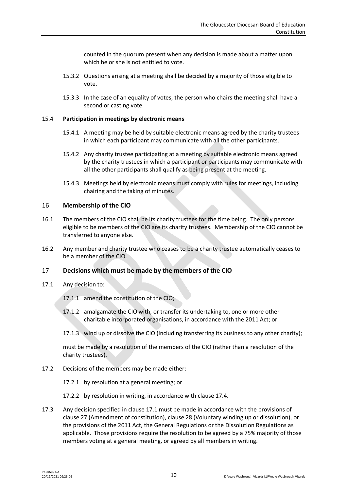counted in the quorum present when any decision is made about a matter upon which he or she is not entitled to vote.

- 15.3.2 Questions arising at a meeting shall be decided by a majority of those eligible to vote.
- 15.3.3 In the case of an equality of votes, the person who chairs the meeting shall have a second or casting vote.

#### <span id="page-9-2"></span>15.4 **Participation in meetings by electronic means**

- 15.4.1 A meeting may be held by suitable electronic means agreed by the charity trustees in which each participant may communicate with all the other participants.
- 15.4.2 Any charity trustee participating at a meeting by suitable electronic means agreed by the charity trustees in which a participant or participants may communicate with all the other participants shall qualify as being present at the meeting.
- 15.4.3 Meetings held by electronic means must comply with rules for meetings, including chairing and the taking of minutes.

# 16 **Membership of the CIO**

- 16.1 The members of the CIO shall be its charity trustees for the time being. The only persons eligible to be members of the CIO are its charity trustees. Membership of the CIO cannot be transferred to anyone else.
- 16.2 Any member and charity trustee who ceases to be a charity trustee automatically ceases to be a member of the CIO.

# <span id="page-9-1"></span>17 **Decisions which must be made by the members of the CIO**

- <span id="page-9-0"></span>17.1 Any decision to:
	- 17.1.1 amend the constitution of the CIO;
	- 17.1.2 amalgamate the CIO with, or transfer its undertaking to, one or more other charitable incorporated organisations, in accordance with the 2011 Act; or
	- 17.1.3 wind up or dissolve the CIO (including transferring its business to any other charity);

must be made by a resolution of the members of the CIO (rather than a resolution of the charity trustees).

- 17.2 Decisions of the members may be made either:
	- 17.2.1 by resolution at a general meeting; or
	- 17.2.2 by resolution in writing, in accordance with clause [17.4.](#page-10-0)
- 17.3 Any decision specified in claus[e 17.1](#page-9-0) must be made in accordance with the provisions of claus[e 27](#page-13-0) (Amendment of constitution), claus[e 28](#page-13-1) (Voluntary winding up or dissolution), or the provisions of the 2011 Act, the General Regulations or the Dissolution Regulations as applicable. Those provisions require the resolution to be agreed by a 75% majority of those members voting at a general meeting, or agreed by all members in writing.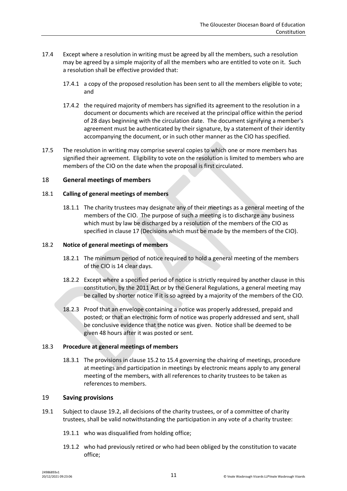- <span id="page-10-0"></span>17.4 Except where a resolution in writing must be agreed by all the members, such a resolution may be agreed by a simple majority of all the members who are entitled to vote on it. Such a resolution shall be effective provided that:
	- 17.4.1 a copy of the proposed resolution has been sent to all the members eligible to vote; and
	- 17.4.2 the required majority of members has signified its agreement to the resolution in a document or documents which are received at the principal office within the period of 28 days beginning with the circulation date. The document signifying a member's agreement must be authenticated by their signature, by a statement of their identity accompanying the document, or in such other manner as the CIO has specified.
- 17.5 The resolution in writing may comprise several copies to which one or more members has signified their agreement. Eligibility to vote on the resolution is limited to members who are members of the CIO on the date when the proposal is first circulated.

# <span id="page-10-3"></span>18 **General meetings of members**

# 18.1 **Calling of general meetings of members**

18.1.1 The charity trustees may designate any of their meetings as a general meeting of the members of the CIO. The purpose of such a meeting is to discharge any business which must by law be discharged by a resolution of the members of the CIO as specified in claus[e 17](#page-9-1) (Decisions which must be made by the members of the CIO).

# <span id="page-10-2"></span>18.2 **Notice of general meetings of members**

- 18.2.1 The minimum period of notice required to hold a general meeting of the members of the CIO is 14 clear days.
- 18.2.2 Except where a specified period of notice is strictly required by another clause in this constitution, by the 2011 Act or by the General Regulations, a general meeting may be called by shorter notice if it is so agreed by a majority of the members of the CIO.
- 18.2.3 Proof that an envelope containing a notice was properly addressed, prepaid and posted; or that an electronic form of notice was properly addressed and sent, shall be conclusive evidence that the notice was given. Notice shall be deemed to be given 48 hours after it was posted or sent.

# 18.3 **Procedure at general meetings of members**

18.3.1 The provisions in claus[e 15.2](#page-8-1) to [15.4](#page-9-2) governing the chairing of meetings, procedure at meetings and participation in meetings by electronic means apply to any general meeting of the members, with all references to charity trustees to be taken as references to members.

# 19 **Saving provisions**

- <span id="page-10-1"></span>19.1 Subject to clause [19.2,](#page-11-0) all decisions of the charity trustees, or of a committee of charity trustees, shall be valid notwithstanding the participation in any vote of a charity trustee:
	- 19.1.1 who was disqualified from holding office;
	- 19.1.2 who had previously retired or who had been obliged by the constitution to vacate office;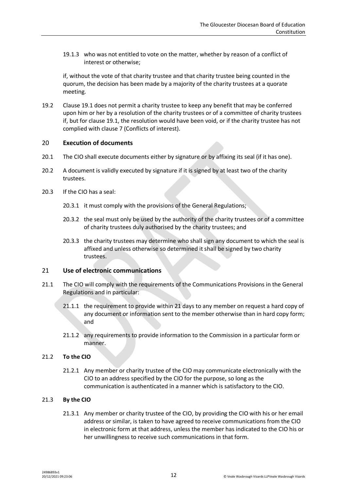19.1.3 who was not entitled to vote on the matter, whether by reason of a conflict of interest or otherwise;

if, without the vote of that charity trustee and that charity trustee being counted in the quorum, the decision has been made by a majority of the charity trustees at a quorate meeting.

<span id="page-11-0"></span>19.2 Claus[e 19.1](#page-10-1) does not permit a charity trustee to keep any benefit that may be conferred upon him or her by a resolution of the charity trustees or of a committee of charity trustees if, but for clause [19.1,](#page-10-1) the resolution would have been void, or if the charity trustee has not complied with clause [7](#page-4-3) (Conflicts of interest).

# 20 **Execution of documents**

- 20.1 The CIO shall execute documents either by signature or by affixing its seal (if it has one).
- 20.2 A document is validly executed by signature if it is signed by at least two of the charity trustees.
- 20.3 If the CIO has a seal:
	- 20.3.1 it must comply with the provisions of the General Regulations;
	- 20.3.2 the seal must only be used by the authority of the charity trustees or of a committee of charity trustees duly authorised by the charity trustees; and
	- 20.3.3 the charity trustees may determine who shall sign any document to which the seal is affixed and unless otherwise so determined it shall be signed by two charity trustees.

# 21 **Use of electronic communications**

- 21.1 The CIO will comply with the requirements of the Communications Provisions in the General Regulations and in particular:
	- 21.1.1 the requirement to provide within 21 days to any member on request a hard copy of any document or information sent to the member otherwise than in hard copy form; and
	- 21.1.2 any requirements to provide information to the Commission in a particular form or manner.

# 21.2 **To the CIO**

21.2.1 Any member or charity trustee of the CIO may communicate electronically with the CIO to an address specified by the CIO for the purpose, so long as the communication is authenticated in a manner which is satisfactory to the CIO.

# 21.3 **By the CIO**

21.3.1 Any member or charity trustee of the CIO, by providing the CIO with his or her email address or similar, is taken to have agreed to receive communications from the CIO in electronic form at that address, unless the member has indicated to the CIO his or her unwillingness to receive such communications in that form.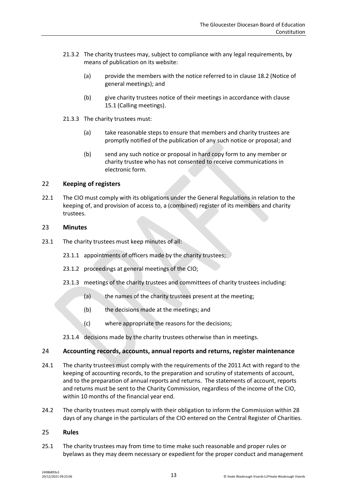- 21.3.2 The charity trustees may, subject to compliance with any legal requirements, by means of publication on its website:
	- (a) provide the members with the notice referred to in clause [18.2](#page-10-2) (Notice of general meetings); and
	- (b) give charity trustees notice of their meetings in accordance with clause [15.1](#page-8-2) (Calling meetings).
- 21.3.3 The charity trustees must:
	- (a) take reasonable steps to ensure that members and charity trustees are promptly notified of the publication of any such notice or proposal; and
	- (b) send any such notice or proposal in hard copy form to any member or charity trustee who has not consented to receive communications in electronic form.

# 22 **Keeping of registers**

22.1 The CIO must comply with its obligations under the General Regulations in relation to the keeping of, and provision of access to, a (combined) register of its members and charity trustees.

#### 23 **Minutes**

- 23.1 The charity trustees must keep minutes of all:
	- 23.1.1 appointments of officers made by the charity trustees;
	- 23.1.2 proceedings at general meetings of the CIO;
	- 23.1.3 meetings of the charity trustees and committees of charity trustees including:
		- (a) the names of the charity trustees present at the meeting;
		- (b) the decisions made at the meetings; and
		- (c) where appropriate the reasons for the decisions;
	- 23.1.4 decisions made by the charity trustees otherwise than in meetings.

#### 24 **Accounting records, accounts, annual reports and returns, register maintenance**

- 24.1 The charity trustees must comply with the requirements of the 2011 Act with regard to the keeping of accounting records, to the preparation and scrutiny of statements of account, and to the preparation of annual reports and returns. The statements of account, reports and returns must be sent to the Charity Commission, regardless of the income of the CIO, within 10 months of the financial year end.
- 24.2 The charity trustees must comply with their obligation to inform the Commission within 28 days of any change in the particulars of the CIO entered on the Central Register of Charities.

#### 25 **Rules**

25.1 The charity trustees may from time to time make such reasonable and proper rules or byelaws as they may deem necessary or expedient for the proper conduct and management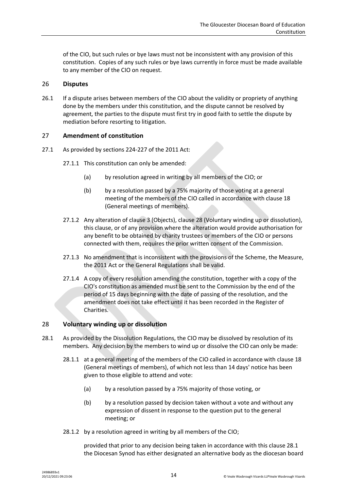of the CIO, but such rules or bye laws must not be inconsistent with any provision of this constitution. Copies of any such rules or bye laws currently in force must be made available to any member of the CIO on request.

# 26 **Disputes**

26.1 If a dispute arises between members of the CIO about the validity or propriety of anything done by the members under this constitution, and the dispute cannot be resolved by agreement, the parties to the dispute must first try in good faith to settle the dispute by mediation before resorting to litigation.

# <span id="page-13-0"></span>27 **Amendment of constitution**

- 27.1 As provided by sections 224-227 of the 2011 Act:
	- 27.1.1 This constitution can only be amended:
		- (a) by resolution agreed in writing by all members of the CIO; or
		- (b) by a resolution passed by a 75% majority of those voting at a general meeting of the members of the CIO called in accordance with clause [18](#page-10-3) (General meetings of members).
	- 27.1.2 Any alteration of clause [3](#page-1-0) (Objects), clause [28](#page-13-1) (Voluntary winding up or dissolution), this clause, or of any provision where the alteration would provide authorisation for any benefit to be obtained by charity trustees or members of the CIO or persons connected with them, requires the prior written consent of the Commission.
	- 27.1.3 No amendment that is inconsistent with the provisions of the Scheme, the Measure, the 2011 Act or the General Regulations shall be valid.
	- 27.1.4 A copy of every resolution amending the constitution, together with a copy of the CIO's constitution as amended must be sent to the Commission by the end of the period of 15 days beginning with the date of passing of the resolution, and the amendment does not take effect until it has been recorded in the Register of Charities.

# <span id="page-13-1"></span>28 **Voluntary winding up or dissolution**

- <span id="page-13-2"></span>28.1 As provided by the Dissolution Regulations, the CIO may be dissolved by resolution of its members. Any decision by the members to wind up or dissolve the CIO can only be made:
	- 28.1.1 at a general meeting of the members of the CIO called in accordance with clause [18](#page-10-3) (General meetings of members), of which not less than 14 days' notice has been given to those eligible to attend and vote:
		- (a) by a resolution passed by a 75% majority of those voting, or
		- (b) by a resolution passed by decision taken without a vote and without any expression of dissent in response to the question put to the general meeting; or
	- 28.1.2 by a resolution agreed in writing by all members of the CIO;

provided that prior to any decision being taken in accordance with this clause [28.1](#page-13-2) the Diocesan Synod has either designated an alternative body as the diocesan board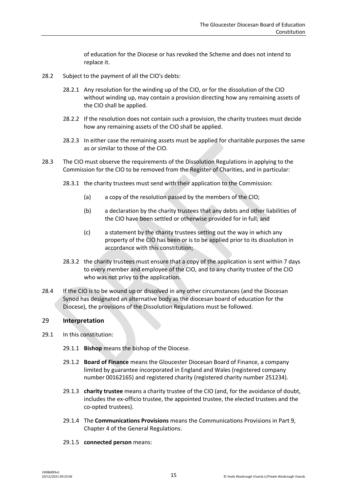of education for the Diocese or has revoked the Scheme and does not intend to replace it.

- 28.2 Subject to the payment of all the CIO's debts:
	- 28.2.1 Any resolution for the winding up of the CIO, or for the dissolution of the CIO without winding up, may contain a provision directing how any remaining assets of the CIO shall be applied.
	- 28.2.2 If the resolution does not contain such a provision, the charity trustees must decide how any remaining assets of the CIO shall be applied.
	- 28.2.3 In either case the remaining assets must be applied for charitable purposes the same as or similar to those of the CIO.
- 28.3 The CIO must observe the requirements of the Dissolution Regulations in applying to the Commission for the CIO to be removed from the Register of Charities, and in particular:
	- 28.3.1 the charity trustees must send with their application to the Commission:
		- (a) a copy of the resolution passed by the members of the CIO;
		- (b) a declaration by the charity trustees that any debts and other liabilities of the CIO have been settled or otherwise provided for in full; and
		- (c) a statement by the charity trustees setting out the way in which any property of the CIO has been or is to be applied prior to its dissolution in accordance with this constitution;
	- 28.3.2 the charity trustees must ensure that a copy of the application is sent within 7 days to every member and employee of the CIO, and to any charity trustee of the CIO who was not privy to the application.
- 28.4 If the CIO is to be wound up or dissolved in any other circumstances (and the Diocesan Synod has designated an alternative body as the diocesan board of education for the Diocese), the provisions of the Dissolution Regulations must be followed.

# <span id="page-14-0"></span>29 **Interpretation**

- 29.1 In this constitution:
	- 29.1.1 **Bishop** means the bishop of the Diocese.
	- 29.1.2 **Board of Finance** means the Gloucester Diocesan Board of Finance, a company limited by guarantee incorporated in England and Wales (registered company number 00162165) and registered charity (registered charity number 251234).
	- 29.1.3 **charity trustee** means a charity trustee of the CIO (and, for the avoidance of doubt, includes the ex-officio trustee, the appointed trustee, the elected trustees and the co-opted trustees).
	- 29.1.4 The **Communications Provisions** means the Communications Provisions in Part 9, Chapter 4 of the General Regulations.
	- 29.1.5 **connected person** means: